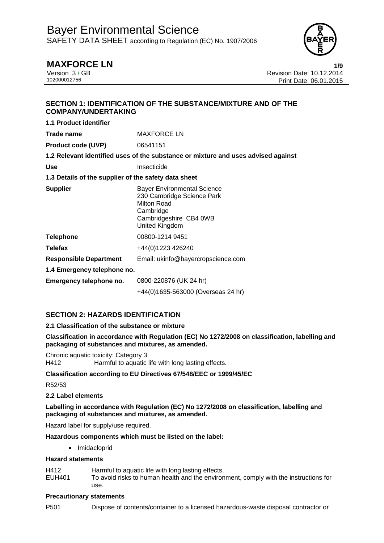

# **MAXFORCE LN 1/9**

Version 3 / GB Revision Date: 10.12.2014 Print Date: 06.01.2015

## **SECTION 1: IDENTIFICATION OF THE SUBSTANCE/MIXTURE AND OF THE COMPANY/UNDERTAKING**

| 1.1 Product identifier                               |                                                                                                                                          |
|------------------------------------------------------|------------------------------------------------------------------------------------------------------------------------------------------|
| Trade name                                           | <b>MAXFORCE LN</b>                                                                                                                       |
| <b>Product code (UVP)</b>                            | 06541151                                                                                                                                 |
|                                                      | 1.2 Relevant identified uses of the substance or mixture and uses advised against                                                        |
| <b>Use</b>                                           | Insecticide                                                                                                                              |
| 1.3 Details of the supplier of the safety data sheet |                                                                                                                                          |
| <b>Supplier</b>                                      | <b>Bayer Environmental Science</b><br>230 Cambridge Science Park<br>Milton Road<br>Cambridge<br>Cambridgeshire CB4 0WB<br>United Kingdom |
| <b>Telephone</b>                                     | 00800-1214 9451                                                                                                                          |
| <b>Telefax</b>                                       | +44(0)1223 426240                                                                                                                        |
| <b>Responsible Department</b>                        | Email: ukinfo@bayercropscience.com                                                                                                       |
| 1.4 Emergency telephone no.                          |                                                                                                                                          |
| Emergency telephone no.                              | 0800-220876 (UK 24 hr)                                                                                                                   |
|                                                      | +44(0)1635-563000 (Overseas 24 hr)                                                                                                       |

## **SECTION 2: HAZARDS IDENTIFICATION**

## **2.1 Classification of the substance or mixture**

**Classification in accordance with Regulation (EC) No 1272/2008 on classification, labelling and packaging of substances and mixtures, as amended.** 

Chronic aquatic toxicity: Category 3 H412 Harmful to aquatic life with long lasting effects.

## **Classification according to EU Directives 67/548/EEC or 1999/45/EC**

R52/53

## **2.2 Label elements**

**Labelling in accordance with Regulation (EC) No 1272/2008 on classification, labelling and packaging of substances and mixtures, as amended.** 

Hazard label for supply/use required.

### **Hazardous components which must be listed on the label:**

• Imidacloprid

### **Hazard statements**

- H412 Harmful to aquatic life with long lasting effects.
- EUH401 To avoid risks to human health and the environment, comply with the instructions for use.

### **Precautionary statements**

P501 Dispose of contents/container to a licensed hazardous-waste disposal contractor or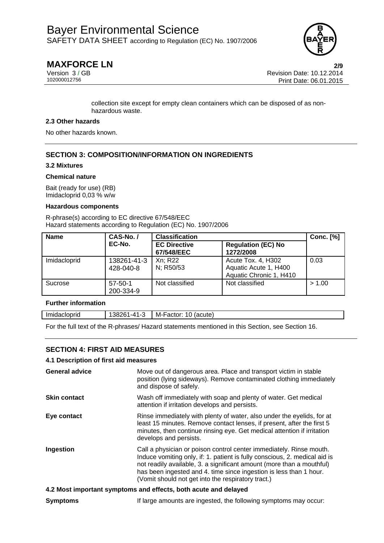

# **MAXFORCE LN 2/9**

Version 3 / GB Revision Date: 10.12.2014 Print Date: 06.01.2015

> collection site except for empty clean containers which can be disposed of as nonhazardous waste.

### **2.3 Other hazards**

No other hazards known.

## **SECTION 3: COMPOSITION/INFORMATION ON INGREDIENTS**

### **3.2 Mixtures**

#### **Chemical nature**

Bait (ready for use) (RB) Imidacloprid 0,03 % w/w

#### **Hazardous components**

R-phrase(s) according to EC directive 67/548/EEC Hazard statements according to Regulation (EC) No. 1907/2006

| <b>Name</b>  | CAS-No./                   | <b>Classification</b>             |                                                                        | <b>Conc.</b> [%] |
|--------------|----------------------------|-----------------------------------|------------------------------------------------------------------------|------------------|
|              | EC-No.                     | <b>EC Directive</b><br>67/548/EEC | <b>Regulation (EC) No</b><br>1272/2008                                 |                  |
| Imidacloprid | 138261-41-3<br>428-040-8   | Xn; R22<br>N; R50/53              | Acute Tox. 4, H302<br>Aquatic Acute 1, H400<br>Aquatic Chronic 1, H410 | 0.03             |
| Sucrose      | $57 - 50 - 1$<br>200-334-9 | Not classified                    | Not classified                                                         | > 1.00           |

### **Further information**

| Imidacloprid | 138261-41-3 | $\mid$ M-Factor: 10 (acute) |  |
|--------------|-------------|-----------------------------|--|
|--------------|-------------|-----------------------------|--|

For the full text of the R-phrases/ Hazard statements mentioned in this Section, see Section 16.

## **SECTION 4: FIRST AID MEASURES**

### **4.1 Description of first aid measures**

| <b>General advice</b> | Move out of dangerous area. Place and transport victim in stable<br>position (lying sideways). Remove contaminated clothing immediately<br>and dispose of safely.                                                                                                                                                                                      |
|-----------------------|--------------------------------------------------------------------------------------------------------------------------------------------------------------------------------------------------------------------------------------------------------------------------------------------------------------------------------------------------------|
| <b>Skin contact</b>   | Wash off immediately with soap and plenty of water. Get medical<br>attention if irritation develops and persists.                                                                                                                                                                                                                                      |
| Eye contact           | Rinse immediately with plenty of water, also under the eyelids, for at<br>least 15 minutes. Remove contact lenses, if present, after the first 5<br>minutes, then continue rinsing eye. Get medical attention if irritation<br>develops and persists.                                                                                                  |
| Ingestion             | Call a physician or poison control center immediately. Rinse mouth.<br>Induce vomiting only, if: 1. patient is fully conscious, 2. medical aid is<br>not readily available, 3. a significant amount (more than a mouthful)<br>has been ingested and 4. time since ingestion is less than 1 hour.<br>(Vomit should not get into the respiratory tract.) |
|                       | A 2 Most important symptoms and effects, both acute and delayed                                                                                                                                                                                                                                                                                        |

### **4.2 Most important symptoms and effects, both acute and delayed**

| <b>Symptoms</b> | If large amounts are ingested, the following symptoms may occur: |  |  |  |
|-----------------|------------------------------------------------------------------|--|--|--|
|-----------------|------------------------------------------------------------------|--|--|--|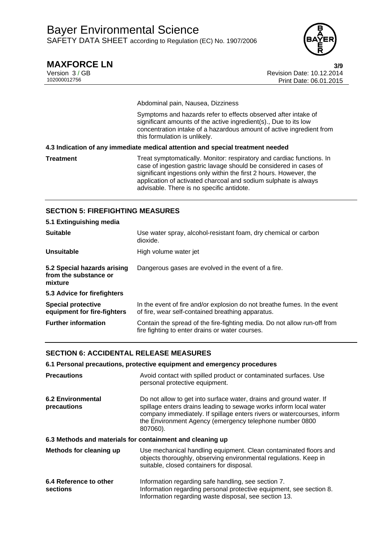

# **MAXFORCE LN 3/9**

Version 3 / GB Revision Date: 10.12.2014 Print Date: 06.01.2015

Abdominal pain, Nausea, Dizziness

Symptoms and hazards refer to effects observed after intake of significant amounts of the active ingredient(s)., Due to its low concentration intake of a hazardous amount of active ingredient from this formulation is unlikely.

**4.3 Indication of any immediate medical attention and special treatment needed** 

**Treatment** Treat symptomatically. Monitor: respiratory and cardiac functions. In case of ingestion gastric lavage should be considered in cases of significant ingestions only within the first 2 hours. However, the application of activated charcoal and sodium sulphate is always advisable. There is no specific antidote.

## **SECTION 5: FIREFIGHTING MEASURES**

| 5.1 Extinguishing media                                         |                                                                                                                               |
|-----------------------------------------------------------------|-------------------------------------------------------------------------------------------------------------------------------|
| <b>Suitable</b>                                                 | Use water spray, alcohol-resistant foam, dry chemical or carbon<br>dioxide.                                                   |
| Unsuitable                                                      | High volume water jet                                                                                                         |
| 5.2 Special hazards arising<br>from the substance or<br>mixture | Dangerous gases are evolved in the event of a fire.                                                                           |
| 5.3 Advice for firefighters                                     |                                                                                                                               |
| <b>Special protective</b><br>equipment for fire-fighters        | In the event of fire and/or explosion do not breathe fumes. In the event<br>of fire, wear self-contained breathing apparatus. |
| <b>Further information</b>                                      | Contain the spread of the fire-fighting media. Do not allow run-off from<br>fire fighting to enter drains or water courses.   |

## **SECTION 6: ACCIDENTAL RELEASE MEASURES**

**6.1 Personal precautions, protective equipment and emergency procedures** 

| <b>Precautions</b>                                        | Avoid contact with spilled product or contaminated surfaces. Use<br>personal protective equipment.                                                                                                                                                                                        |
|-----------------------------------------------------------|-------------------------------------------------------------------------------------------------------------------------------------------------------------------------------------------------------------------------------------------------------------------------------------------|
| <b>6.2 Environmental</b><br>precautions                   | Do not allow to get into surface water, drains and ground water. If<br>spillage enters drains leading to sewage works inform local water<br>company immediately. If spillage enters rivers or watercourses, inform<br>the Environment Agency (emergency telephone number 0800<br>807060). |
| 6.3 Methods and materials for containment and cleaning up |                                                                                                                                                                                                                                                                                           |
| Methods for cleaning up                                   | Use mechanical handling equipment. Clean contaminated floors and<br>objects thoroughly, observing environmental regulations. Keep in<br>suitable, closed containers for disposal.                                                                                                         |
| 6.4 Reference to other<br>sections                        | Information regarding safe handling, see section 7.<br>Information regarding personal protective equipment, see section 8.<br>Information regarding waste disposal, see section 13.                                                                                                       |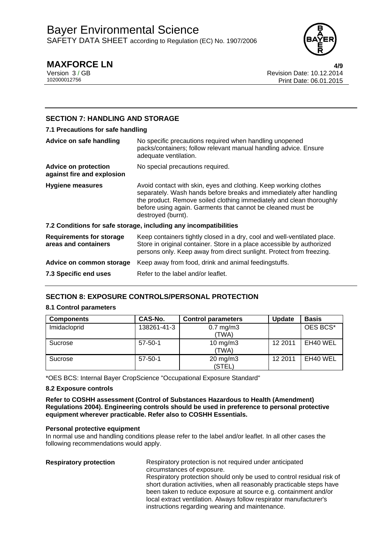

# **MAXFORCE LN 4/9**

Version 3 / GB Revision Date: 10.12.2014 Print Date: 06.01.2015

## **SECTION 7: HANDLING AND STORAGE**

## **7.1 Precautions for safe handling**

| Advice on safe handling                                   | No specific precautions required when handling unopened<br>packs/containers; follow relevant manual handling advice. Ensure<br>adequate ventilation.                                                                                                                                                 |
|-----------------------------------------------------------|------------------------------------------------------------------------------------------------------------------------------------------------------------------------------------------------------------------------------------------------------------------------------------------------------|
| <b>Advice on protection</b><br>against fire and explosion | No special precautions required.                                                                                                                                                                                                                                                                     |
| <b>Hygiene measures</b>                                   | Avoid contact with skin, eyes and clothing. Keep working clothes<br>separately. Wash hands before breaks and immediately after handling<br>the product. Remove soiled clothing immediately and clean thoroughly<br>before using again. Garments that cannot be cleaned must be<br>destroyed (burnt). |
|                                                           | 7.2 Conditions for safe storage, including any incompatibilities                                                                                                                                                                                                                                     |
| <b>Requirements for storage</b><br>areas and containers   | Keep containers tightly closed in a dry, cool and well-ventilated place.<br>Store in original container. Store in a place accessible by authorized<br>persons only. Keep away from direct sunlight. Protect from freezing.                                                                           |
| Advice on common storage                                  | Keep away from food, drink and animal feedingstuffs.                                                                                                                                                                                                                                                 |
| 7.3 Specific end uses                                     | Refer to the label and/or leaflet.                                                                                                                                                                                                                                                                   |

## **SECTION 8: EXPOSURE CONTROLS/PERSONAL PROTECTION**

### **8.1 Control parameters**

| <b>Components</b> | CAS-No.       | <b>Control parameters</b>     | <b>Update</b> | <b>Basis</b> |
|-------------------|---------------|-------------------------------|---------------|--------------|
| Imidacloprid      | 138261-41-3   | $0.7$ mg/m $3$<br>(TWA)       |               | OES BCS*     |
| Sucrose           | $57-50-1$     | $10$ mg/m $3$<br>(TWA)        | 12 2011       | EH40 WEL     |
| Sucrose           | $57 - 50 - 1$ | $20 \text{ mg/m}$ 3<br>(STEL) | 12 2011       | EH40 WEL     |

\*OES BCS: Internal Bayer CropScience "Occupational Exposure Standard"

### **8.2 Exposure controls**

**Refer to COSHH assessment (Control of Substances Hazardous to Health (Amendment) Regulations 2004). Engineering controls should be used in preference to personal protective equipment wherever practicable. Refer also to COSHH Essentials.**

### **Personal protective equipment**

In normal use and handling conditions please refer to the label and/or leaflet. In all other cases the following recommendations would apply.

**Respiratory protection** Respiratory protection is not required under anticipated circumstances of exposure. Respiratory protection should only be used to control residual risk of short duration activities, when all reasonably practicable steps have been taken to reduce exposure at source e.g. containment and/or local extract ventilation. Always follow respirator manufacturer's instructions regarding wearing and maintenance.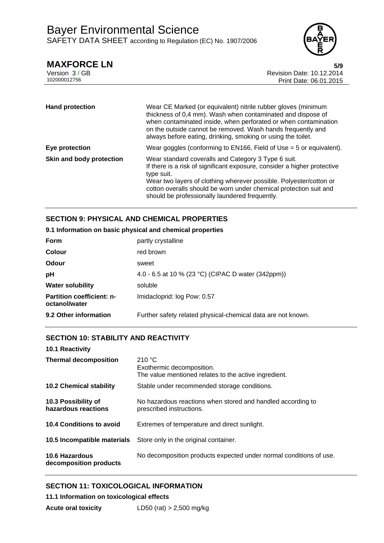

**MAXFORCE LN** 5/9<br>Version 3/GB<br>**10.12.2014** Revision Date: 10.12.2014 Version 3 / GB Revision Date: 10.12.2014 Print Date: 06.01.2015

| <b>Hand protection</b>   | Wear CE Marked (or equivalent) nitrile rubber gloves (minimum<br>thickness of 0,4 mm). Wash when contaminated and dispose of<br>when contaminated inside, when perforated or when contamination<br>on the outside cannot be removed. Wash hands frequently and<br>always before eating, drinking, smoking or using the toilet.             |
|--------------------------|--------------------------------------------------------------------------------------------------------------------------------------------------------------------------------------------------------------------------------------------------------------------------------------------------------------------------------------------|
| Eye protection           | Wear goggles (conforming to $EN166$ , Field of Use = 5 or equivalent).                                                                                                                                                                                                                                                                     |
| Skin and body protection | Wear standard coveralls and Category 3 Type 6 suit.<br>If there is a risk of significant exposure, consider a higher protective<br>type suit.<br>Wear two layers of clothing wherever possible. Polyester/cotton or<br>cotton overalls should be worn under chemical protection suit and<br>should be professionally laundered frequently. |

## **SECTION 9: PHYSICAL AND CHEMICAL PROPERTIES**

## **9.1 Information on basic physical and chemical properties**

| <b>Form</b>                                       | partly crystalline                                           |
|---------------------------------------------------|--------------------------------------------------------------|
| <b>Colour</b>                                     | red brown                                                    |
| Odour                                             | sweet                                                        |
| рH                                                | 4.0 - 6.5 at 10 % (23 °C) (CIPAC D water (342ppm))           |
| <b>Water solubility</b>                           | soluble                                                      |
| <b>Partition coefficient: n-</b><br>octanol/water | Imidacloprid: log Pow: 0.57                                  |
| 9.2 Other information                             | Further safety related physical-chemical data are not known. |

## **SECTION 10: STABILITY AND REACTIVITY**

| 10.1 Reactivity                            |                                                                                              |
|--------------------------------------------|----------------------------------------------------------------------------------------------|
| <b>Thermal decomposition</b>               | 210 °C<br>Exothermic decomposition.<br>The value mentioned relates to the active ingredient. |
| <b>10.2 Chemical stability</b>             | Stable under recommended storage conditions.                                                 |
| 10.3 Possibility of<br>hazardous reactions | No hazardous reactions when stored and handled according to<br>prescribed instructions.      |
| 10.4 Conditions to avoid                   | Extremes of temperature and direct sunlight.                                                 |
| 10.5 Incompatible materials                | Store only in the original container.                                                        |
| 10.6 Hazardous<br>decomposition products   | No decomposition products expected under normal conditions of use.                           |

## **SECTION 11: TOXICOLOGICAL INFORMATION**

**11.1 Information on toxicological effects**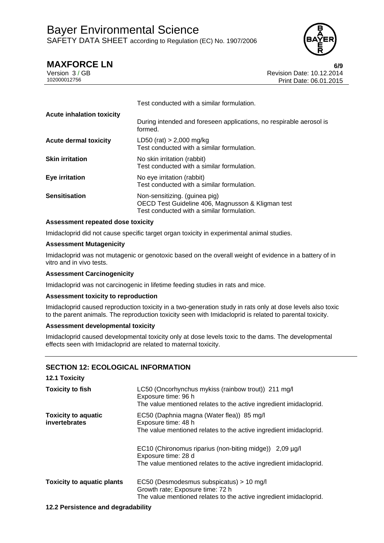

**MAXFORCE LN** 6/9<br>Version 3 / GB **10.12.2014** Version 3 / GB Revision Date: 10.12.2014 Print Date: 06.01.2015

|                                  | Test conducted with a similar formulation.                                                                                       |
|----------------------------------|----------------------------------------------------------------------------------------------------------------------------------|
| <b>Acute inhalation toxicity</b> | During intended and foreseen applications, no respirable aerosol is<br>formed.                                                   |
| <b>Acute dermal toxicity</b>     | LD50 (rat) $> 2,000$ mg/kg<br>Test conducted with a similar formulation.                                                         |
| <b>Skin irritation</b>           | No skin irritation (rabbit)<br>Test conducted with a similar formulation.                                                        |
| Eye irritation                   | No eye irritation (rabbit)<br>Test conducted with a similar formulation.                                                         |
| <b>Sensitisation</b>             | Non-sensitizing. (guinea pig)<br>OECD Test Guideline 406, Magnusson & Kligman test<br>Test conducted with a similar formulation. |

## **Assessment repeated dose toxicity**

Imidacloprid did not cause specific target organ toxicity in experimental animal studies.

### **Assessment Mutagenicity**

Imidacloprid was not mutagenic or genotoxic based on the overall weight of evidence in a battery of in vitro and in vivo tests.

## **Assessment Carcinogenicity**

Imidacloprid was not carcinogenic in lifetime feeding studies in rats and mice.

## **Assessment toxicity to reproduction**

Imidacloprid caused reproduction toxicity in a two-generation study in rats only at dose levels also toxic to the parent animals. The reproduction toxicity seen with Imidacloprid is related to parental toxicity.

### **Assessment developmental toxicity**

Imidacloprid caused developmental toxicity only at dose levels toxic to the dams. The developmental effects seen with Imidacloprid are related to maternal toxicity.

## **SECTION 12: ECOLOGICAL INFORMATION**

| <b>12.1 Toxicity</b>                        |                                                                                                                                                      |
|---------------------------------------------|------------------------------------------------------------------------------------------------------------------------------------------------------|
| <b>Toxicity to fish</b>                     | LC50 (Oncorhynchus mykiss (rainbow trout)) 211 mg/l<br>Exposure time: 96 h<br>The value mentioned relates to the active ingredient imidacloprid.     |
| <b>Toxicity to aquatic</b><br>invertebrates | EC50 (Daphnia magna (Water flea)) 85 mg/l<br>Exposure time: 48 h<br>The value mentioned relates to the active ingredient imidacloprid.               |
|                                             | EC10 (Chironomus riparius (non-biting midge)) 2,09 µg/l<br>Exposure time: 28 d<br>The value mentioned relates to the active ingredient imidacloprid. |
| <b>Toxicity to aquatic plants</b>           | EC50 (Desmodesmus subspicatus) > 10 mg/l<br>Growth rate; Exposure time: 72 h<br>The value mentioned relates to the active ingredient imidacloprid.   |
| 40.0 Berghaman and dessedebility            |                                                                                                                                                      |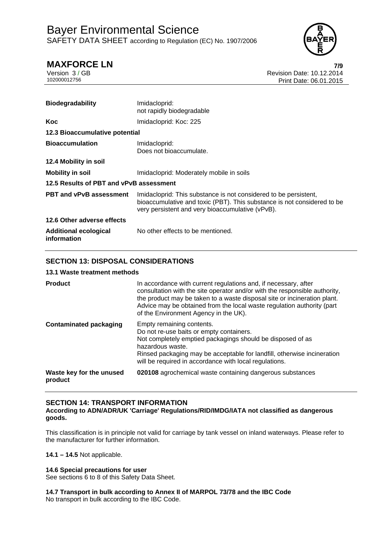

# **MAXFORCE LN 7/9**

Version 3 / GB Revision Date: 10.12.2014 Print Date: 06.01.2015

| <b>Biodegradability</b>                     | Imidacloprid:<br>not rapidly biodegradable                                                                                                                                                      |  |
|---------------------------------------------|-------------------------------------------------------------------------------------------------------------------------------------------------------------------------------------------------|--|
| Koc                                         | Imidacloprid: Koc: 225                                                                                                                                                                          |  |
| 12.3 Bioaccumulative potential              |                                                                                                                                                                                                 |  |
| <b>Bioaccumulation</b>                      | Imidacloprid:<br>Does not bioaccumulate.                                                                                                                                                        |  |
| 12.4 Mobility in soil                       |                                                                                                                                                                                                 |  |
| <b>Mobility in soil</b>                     | Imidacloprid: Moderately mobile in soils                                                                                                                                                        |  |
| 12.5 Results of PBT and vPvB assessment     |                                                                                                                                                                                                 |  |
| <b>PBT and vPvB assessment</b>              | Imidacloprid: This substance is not considered to be persistent,<br>bioaccumulative and toxic (PBT). This substance is not considered to be<br>very persistent and very bioaccumulative (vPvB). |  |
| 12.6 Other adverse effects                  |                                                                                                                                                                                                 |  |
| <b>Additional ecological</b><br>information | No other effects to be mentioned.                                                                                                                                                               |  |

## **SECTION 13: DISPOSAL CONSIDERATIONS**

## **13.1 Waste treatment methods**

| <b>Product</b>                      | In accordance with current regulations and, if necessary, after<br>consultation with the site operator and/or with the responsible authority,<br>the product may be taken to a waste disposal site or incineration plant.<br>Advice may be obtained from the local waste regulation authority (part<br>of the Environment Agency in the UK). |
|-------------------------------------|----------------------------------------------------------------------------------------------------------------------------------------------------------------------------------------------------------------------------------------------------------------------------------------------------------------------------------------------|
| <b>Contaminated packaging</b>       | Empty remaining contents.<br>Do not re-use baits or empty containers.<br>Not completely emptied packagings should be disposed of as<br>hazardous waste.<br>Rinsed packaging may be acceptable for landfill, otherwise incineration<br>will be required in accordance with local regulations.                                                 |
| Waste key for the unused<br>product | 020108 agrochemical waste containing dangerous substances                                                                                                                                                                                                                                                                                    |

## **SECTION 14: TRANSPORT INFORMATION**

## **According to ADN/ADR/UK 'Carriage' Regulations/RID/IMDG/IATA not classified as dangerous goods.**

This classification is in principle not valid for carriage by tank vessel on inland waterways. Please refer to the manufacturer for further information.

**14.1 – 14.5** Not applicable.

## **14.6 Special precautions for user**

See sections 6 to 8 of this Safety Data Sheet.

**14.7 Transport in bulk according to Annex II of MARPOL 73/78 and the IBC Code**  No transport in bulk according to the IBC Code.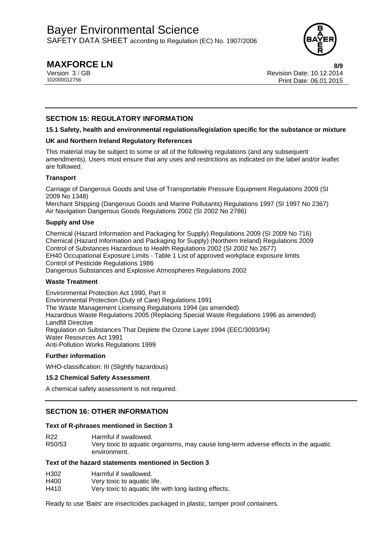

# **MAXFORCE LN 8/9**

Version 3 / GB Revision Date: 10.12.2014 Print Date: 06.01.2015

## **SECTION 15: REGULATORY INFORMATION**

## **15.1 Safety, health and environmental regulations/legislation specific for the substance or mixture**

## **UK and Northern Ireland Regulatory References**

This material may be subject to some or all of the following regulations (and any subsequent amendments). Users must ensure that any uses and restrictions as indicated on the label and/or leaflet are followed.

## **Transport**

Carriage of Dangerous Goods and Use of Transportable Pressure Equipment Regulations 2009 (SI 2009 No 1348)

Merchant Shipping (Dangerous Goods and Marine Pollutants) Regulations 1997 (SI 1997 No 2367) Air Navigation Dangerous Goods Regulations 2002 (SI 2002 No 2786)

## **Supply and Use**

Chemical (Hazard Information and Packaging for Supply) Regulations 2009 (SI 2009 No 716) Chemical (Hazard Information and Packaging for Supply) (Northern Ireland) Regulations 2009 Control of Substances Hazardous to Health Regulations 2002 (SI 2002 No 2677) EH40 Occupational Exposure Limits - Table 1 List of approved workplace exposure limits Control of Pesticide Regulations 1986 Dangerous Substances and Explosive Atmospheres Regulations 2002

## **Waste Treatment**

Environmental Protection Act 1990, Part II Environmental Protection (Duty of Care) Regulations 1991 The Waste Management Licensing Regulations 1994 (as amended) Hazardous Waste Regulations 2005 (Replacing Special Waste Regulations 1996 as amended) Landfill Directive Regulation on Substances That Deplete the Ozone Layer 1994 (EEC/3093/94) Water Resources Act 1991 Anti-Pollution Works Regulations 1999

## **Further information**

WHO-classification: III (Slightly hazardous)

### **15.2 Chemical Safety Assessment**

A chemical safety assessment is not required.

## **SECTION 16: OTHER INFORMATION**

## **Text of R-phrases mentioned in Section 3**

R22 Harmful if swallowed.

R50/53 Very toxic to aquatic organisms, may cause long-term adverse effects in the aquatic environment.

## **Text of the hazard statements mentioned in Section 3**

| H302 | Harmful if swallowed.                                 |
|------|-------------------------------------------------------|
| H400 | Very toxic to aquatic life.                           |
| H410 | Very toxic to aquatic life with long lasting effects. |

Ready to use 'Baits' are insecticides packaged in plastic, tamper proof containers.